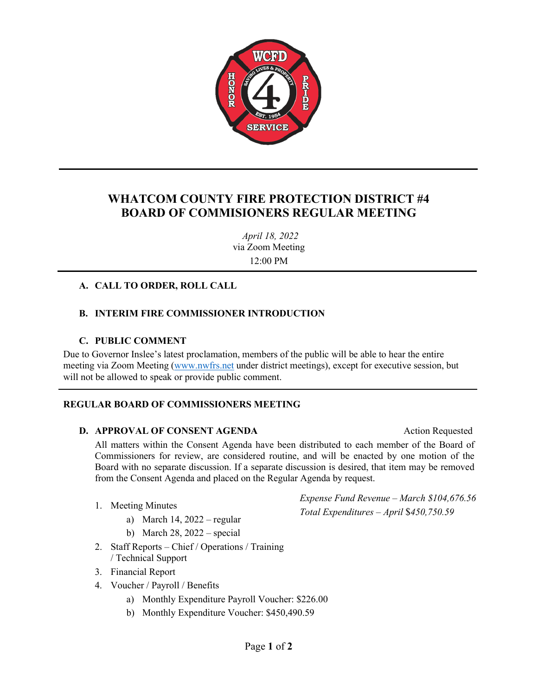

## **WHATCOM COUNTY FIRE PROTECTION DISTRICT #4 BOARD OF COMMISIONERS REGULAR MEETING**

*April 18, 2022* via Zoom Meeting 12:00 PM

#### **A. CALL TO ORDER, ROLL CALL**

#### **B. INTERIM FIRE COMMISSIONER INTRODUCTION**

#### **C. PUBLIC COMMENT**

Due to Governor Inslee's latest proclamation, members of the public will be able to hear the entire meeting via Zoom Meeting [\(www.nwfrs.net](http://www.nwfrs.net/) under district meetings), except for executive session, but will not be allowed to speak or provide public comment.

#### **REGULAR BOARD OF COMMISSIONERS MEETING**

#### **D. APPROVAL OF CONSENT AGENDA Action Requested**

All matters within the Consent Agenda have been distributed to each member of the Board of Commissioners for review, are considered routine, and will be enacted by one motion of the Board with no separate discussion. If a separate discussion is desired, that item may be removed from the Consent Agenda and placed on the Regular Agenda by request.

- 1. Meeting Minutes
	- a) March 14, 2022 regular
	- b) March 28, 2022 special
- 2. Staff Reports Chief / Operations / Training / Technical Support
- 3. Financial Report
- 4. Voucher / Payroll / Benefits
	- a) Monthly Expenditure Payroll Voucher: \$226.00
	- b) Monthly Expenditure Voucher: \$450,490.59

*Expense Fund Revenue – March \$104,676.56 Total Expenditures – April* \$*450,750.59*